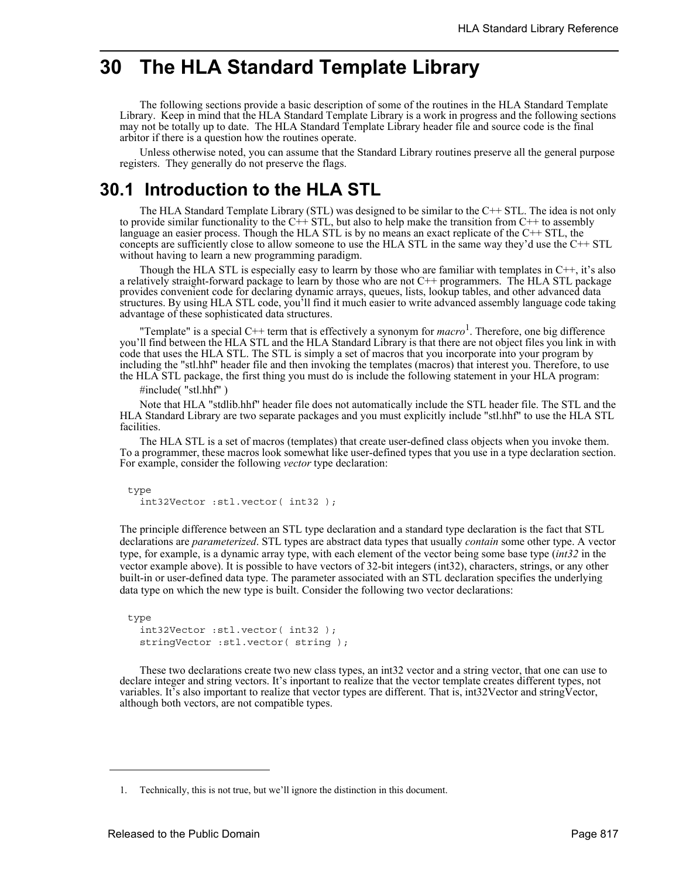# **30 The HLA Standard Template Library**

The following sections provide a basic description of some of the routines in the HLA Standard Template Library. Keep in mind that the HLA Standard Template Library is a work in progress and the following sections may not be totally up to date. The HLA Standard Template Library header file and source code is the final arbitor if there is a question how the routines operate.

Unless otherwise noted, you can assume that the Standard Library routines preserve all the general purpose registers. They generally do not preserve the flags.

## **30.1 Introduction to the HLA STL**

The HLA Standard Template Library (STL) was designed to be similar to the C++ STL. The idea is not only to provide similar functionality to the  $C++$  STL, but also to help make the transition from  $C++$  to assembly language an easier process. Though the HLA STL is by no means an exact replicate of the C++ STL, the concepts are sufficiently close to allow someone to use the HLA STL in the same way they'd use the C++ STL without having to learn a new programming paradigm.

Though the HLA STL is especially easy to learrn by those who are familiar with templates in C++, it's also a relatively straight-forward package to learn by those who are not C++ programmers. The HLA STL package provides convenient code for declaring dynamic arrays, queues, lists, lookup tables, and other advanced data structures. By using HLA STL code, you'll find it much easier to write advanced assembly language code taking advantage of these sophisticated data structures.

"Template" is a special C++ term that is effectively a synonym for *macro*<sup>1</sup> . Therefore, one big difference you'll find between the HLA STL and the HLA Standard Library is that there are not object files you link in with code that uses the HLA STL. The STL is simply a set of macros that you incorporate into your program by including the "stl.hhf" header file and then invoking the templates (macros) that interest you. Therefore, to use the HLA STL package, the first thing you must do is include the following statement in your HLA program:

#include( "stl.hhf" )

Note that HLA "stdlib.hhf" header file does not automatically include the STL header file. The STL and the HLA Standard Library are two separate packages and you must explicitly include "stl.hhf" to use the HLA STL facilities.

The HLA STL is a set of macros (templates) that create user-defined class objects when you invoke them. To a programmer, these macros look somewhat like user-defined types that you use in a type declaration section. For example, consider the following *vector* type declaration:

type int32Vector :stl.vector( int32 );

The principle difference between an STL type declaration and a standard type declaration is the fact that STL declarations are *parameterized*. STL types are abstract data types that usually *contain* some other type. A vector type, for example, is a dynamic array type, with each element of the vector being some base type (*int32* in the vector example above). It is possible to have vectors of 32-bit integers (int32), characters, strings, or any other built-in or user-defined data type. The parameter associated with an STL declaration specifies the underlying data type on which the new type is built. Consider the following two vector declarations:

```
type
  int32Vector :stl.vector( int32 );
  stringVector :stl.vector( string );
```
These two declarations create two new class types, an int32 vector and a string vector, that one can use to declare integer and string vectors. It's inportant to realize that the vector template creates different types, not variables. It's also important to realize that vector types are different. That is, int32Vector and stringVector, although both vectors, are not compatible types.

<sup>1.</sup> Technically, this is not true, but we'll ignore the distinction in this document.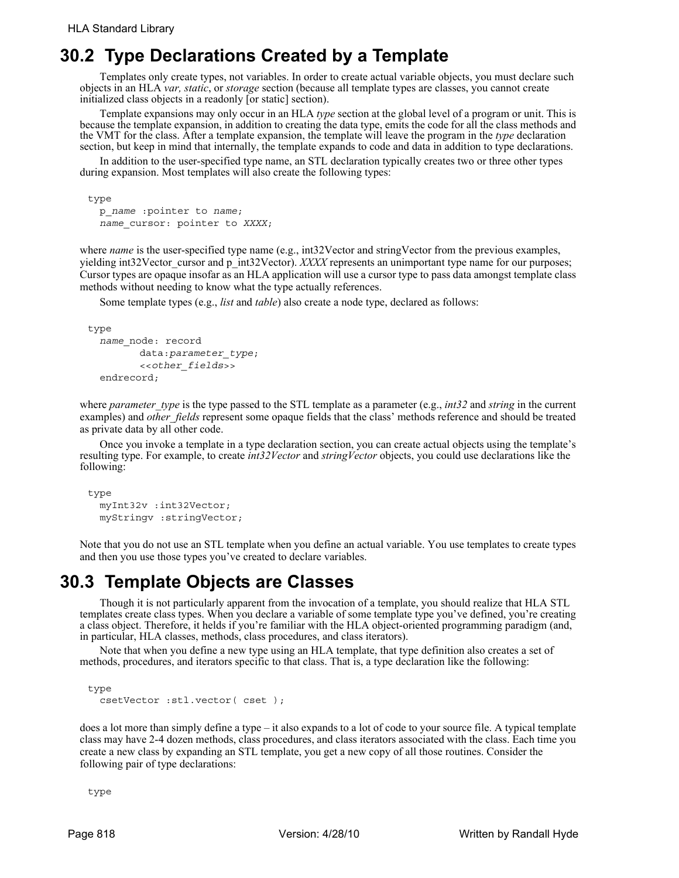## **30.2 Type Declarations Created by a Template**

Templates only create types, not variables. In order to create actual variable objects, you must declare such objects in an HLA *var, static*, or *storage* section (because all template types are classes, you cannot create initialized class objects in a readonly [or static] section).

Template expansions may only occur in an HLA *type* section at the global level of a program or unit. This is because the template expansion, in addition to creating the data type, emits the code for all the class methods and the VMT for the class. After a template expansion, the template will leave the program in the *type* declaration section, but keep in mind that internally, the template expands to code and data in addition to type declarations.

In addition to the user-specified type name, an STL declaration typically creates two or three other types during expansion. Most templates will also create the following types:

```
type
  p_name :pointer to name;
  name_cursor: pointer to XXXX;
```
where *name* is the user-specified type name (e.g., int32Vector and stringVector from the previous examples, yielding int32Vector cursor and p\_int32Vector). *XXXX* represents an unimportant type name for our purposes; Cursor types are opaque insofar as an HLA application will use a cursor type to pass data amongst template class methods without needing to know what the type actually references.

Some template types (e.g., *list* and *table*) also create a node type, declared as follows:

```
type
  name_node: record
        data:parameter_type;
         <<other_fields>>
  endrecord;
```
where *parameter* type is the type passed to the STL template as a parameter (e.g., *int32* and *string* in the current examples) and *other\_fields* represent some opaque fields that the class' methods reference and should be treated as private data by all other code.

Once you invoke a template in a type declaration section, you can create actual objects using the template's resulting type. For example, to create *int32Vector* and *stringVector* objects, you could use declarations like the following:

```
type
  myInt32v :int32Vector;
  myStringv :stringVector;
```
Note that you do not use an STL template when you define an actual variable. You use templates to create types and then you use those types you've created to declare variables.

# **30.3 Template Objects are Classes**

Though it is not particularly apparent from the invocation of a template, you should realize that HLA STL templates create class types. When you declare a variable of some template type you've defined, you're creating a class object. Therefore, it helds if you're familiar with the HLA object-oriented programming paradigm (and, in particular, HLA classes, methods, class procedures, and class iterators).

Note that when you define a new type using an HLA template, that type definition also creates a set of methods, procedures, and iterators specific to that class. That is, a type declaration like the following:

```
type
  csetVector :stl.vector( cset );
```
does a lot more than simply define a type – it also expands to a lot of code to your source file. A typical template class may have 2-4 dozen methods, class procedures, and class iterators associated with the class. Each time you create a new class by expanding an STL template, you get a new copy of all those routines. Consider the following pair of type declarations:

type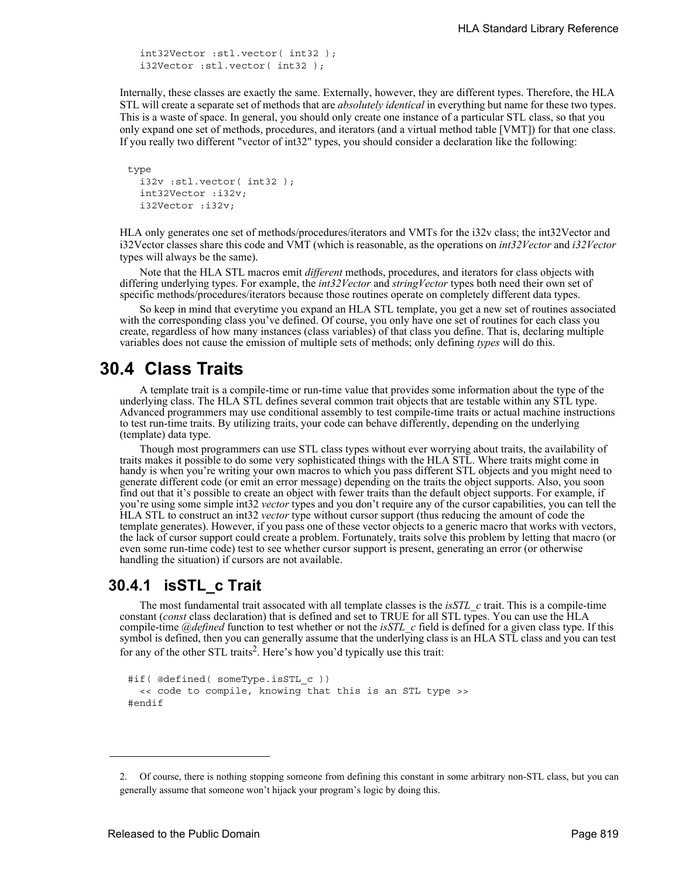```
int32Vector :stl.vector( int32 );
i32Vector :stl.vector( int32 );
```
Internally, these classes are exactly the same. Externally, however, they are different types. Therefore, the HLA STL will create a separate set of methods that are *absolutely identical* in everything but name for these two types. This is a waste of space. In general, you should only create one instance of a particular STL class, so that you only expand one set of methods, procedures, and iterators (and a virtual method table [VMT]) for that one class. If you really two different "vector of int32" types, you should consider a declaration like the following:

```
type
  i32v :stl.vector( int32 );
  int32Vector :i32v;
  i32Vector :i32v;
```
HLA only generates one set of methods/procedures/iterators and VMTs for the i32v class; the int32Vector and i32Vector classes share this code and VMT (which is reasonable, as the operations on *int32Vector* and *i32Vector* types will always be the same).

Note that the HLA STL macros emit *different* methods, procedures, and iterators for class objects with differing underlying types. For example, the *int32Vector* and *stringVector* types both need their own set of specific methods/procedures/iterators because those routines operate on completely different data types.

So keep in mind that everytime you expand an HLA STL template, you get a new set of routines associated with the corresponding class you've defined. Of course, you only have one set of routines for each class you create, regardless of how many instances (class variables) of that class you define. That is, declaring multiple variables does not cause the emission of multiple sets of methods; only defining *types* will do this.

## **30.4 Class Traits**

A template trait is a compile-time or run-time value that provides some information about the type of the underlying class. The HLA STL defines several common trait objects that are testable within any STL type. Advanced programmers may use conditional assembly to test compile-time traits or actual machine instructions to test run-time traits. By utilizing traits, your code can behave differently, depending on the underlying (template) data type.

Though most programmers can use STL class types without ever worrying about traits, the availability of traits makes it possible to do some very sophisticated things with the HLA STL. Where traits might come in handy is when you're writing your own macros to which you pass different STL objects and you might need to generate different code (or emit an error message) depending on the traits the object supports. Also, you soon find out that it's possible to create an object with fewer traits than the default object supports. For example, if you're using some simple int32 *vector* types and you don't require any of the cursor capabilities, you can tell the HLA STL to construct an int32 *vector* type without cursor support (thus reducing the amount of code the template generates). However, if you pass one of these vector objects to a generic macro that works with vectors, the lack of cursor support could create a problem. Fortunately, traits solve this problem by letting that macro (or even some run-time code) test to see whether cursor support is present, generating an error (or otherwise handling the situation) if cursors are not available.

### **30.4.1 isSTL\_c Trait**

The most fundamental trait assocated with all template classes is the *isSTL\_c* trait. This is a compile-time constant (*const* class declaration) that is defined and set to TRUE for all STL types. You can use the HLA compile-time *@defined* function to test whether or not the *isSTL\_c* field is defined for a given class type. If this symbol is defined, then you can generally assume that the underlying class is an HLA STL class and you can test for any of the other STL traits<sup>2</sup>. Here's how you'd typically use this trait:

```
#if( @defined( someType.isSTL c ))
  << code to compile, knowing that this is an STL type >>
#endif
```
<sup>2.</sup> Of course, there is nothing stopping someone from defining this constant in some arbitrary non-STL class, but you can generally assume that someone won't hijack your program's logic by doing this.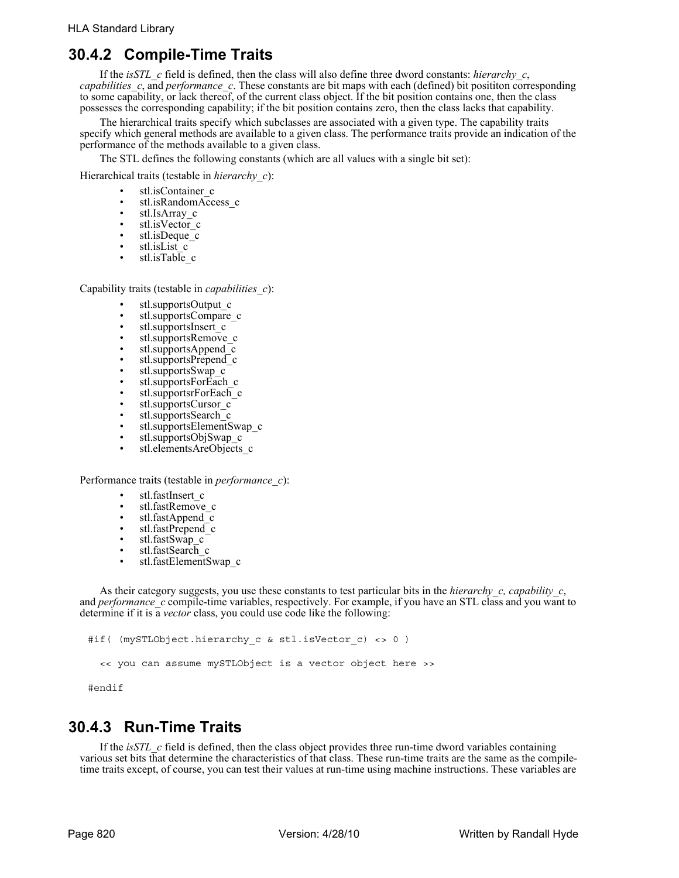### **30.4.2 Compile-Time Traits**

If the *isSTL\_c* field is defined, then the class will also define three dword constants: *hierarchy\_c*, *capabilities c*, and *performance c*. These constants are bit maps with each (defined) bit posititon corresponding to some capability, or lack thereof, of the current class object. If the bit position contains one, then the class possesses the corresponding capability; if the bit position contains zero, then the class lacks that capability.

The hierarchical traits specify which subclasses are associated with a given type. The capability traits specify which general methods are available to a given class. The performance traits provide an indication of the performance of the methods available to a given class.

The STL defines the following constants (which are all values with a single bit set):

Hierarchical traits (testable in *hierarchy\_c*):

- stl.isContainer\_c
- stl.isRandomAccess c
- stl.IsArray\_c
- stl.isVector\_c
- $\cdot$  stl.isDeque $\bar{c}$
- stl.isList\_c
- stl.isTable c

Capability traits (testable in *capabilities\_c*):

- stl.supportsOutput\_c
- stl.supportsCompare\_c
- stl.supportsInsert c
- stl.supportsRemove\_c
- stl.supportsAppend\_c
- stl.supportsPrepend<sup>c</sup>
- stl.supportsSwap\_c
- stl.supportsForEach\_c
- stl.supportsrForEach\_c
- stl.supportsCursor\_c
- stl.supportsSearch\_c
- stl.supportsElementSwap\_c
- stl.supportsObjSwap\_c
- stl.elementsAreObjects c

Performance traits (testable in *performance\_c*):

- stl.fastInsert\_c
- stl.fastRemove\_c
- stl.fastAppend $\overline{c}$ <br>• stl.fastPrepend $\overline{c}$
- stl.fastPrepend<sup>c</sup>
- stl.fastSwap c
- stl.fastSearch c
- stl.fastElementSwap\_c

As their category suggests, you use these constants to test particular bits in the *hierarchy c, capability c*, and *performance* c compile-time variables, respectively. For example, if you have an STL class and you want to determine if it is a *vector* class, you could use code like the following:

```
#if( (mySTLObject.hierarchy_c & stl.isVector_c) <> 0 )
```
<< you can assume mySTLObject is a vector object here >>

#endif

#### **30.4.3 Run-Time Traits**

If the *isSTL\_c* field is defined, then the class object provides three run-time dword variables containing various set bits that determine the characteristics of that class. These run-time traits are the same as the compiletime traits except, of course, you can test their values at run-time using machine instructions. These variables are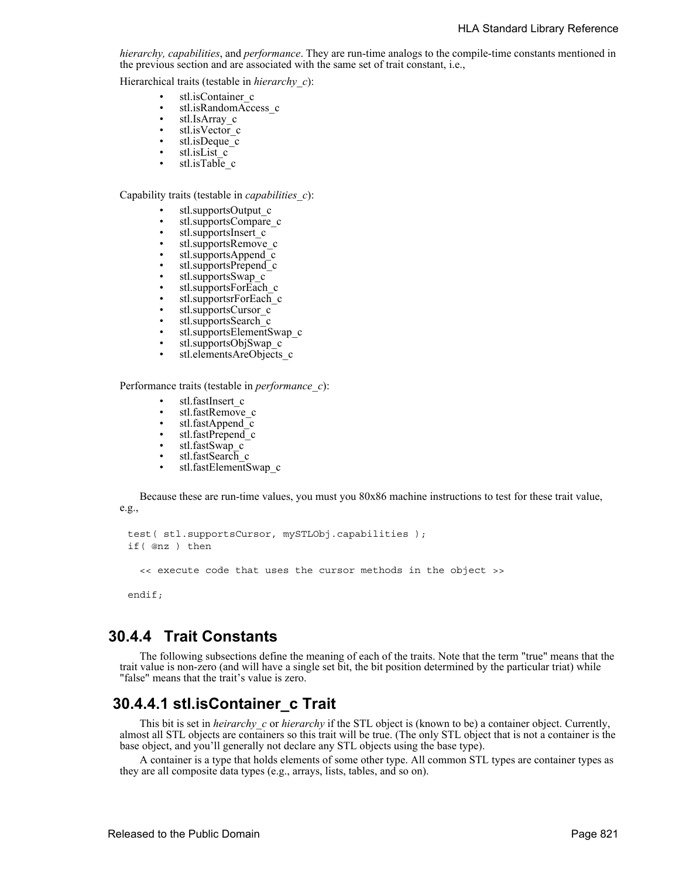*hierarchy, capabilities*, and *performance*. They are run-time analogs to the compile-time constants mentioned in the previous section and are associated with the same set of trait constant, i.e.,

Hierarchical traits (testable in *hierarchy\_c*):

- stl.isContainer\_c
- stl.isRandomAccess c
- stl.IsArray c
- stl.isVector $\frac{c}{\cdot}$  stl.isDeque  $\frac{c}{\cdot}$
- stl.isDeque\_c
- stl.isList\_c<br>• stl.isTable
- stl.isTable\_c

Capability traits (testable in *capabilities\_c*):

- stl.supportsOutput\_c
- stl.supportsCompare\_c
- stl.supportsInsert\_c
- stl.supportsRemove\_c
- stl.supportsAppend $\overline{c}$
- stl.supportsPrepend c
- stl.supportsSwap\_c
- stl.supportsForEach\_c
- stl.supportsrForEach\_c
- stl.supportsCursor $c$
- stl.supportsSearch\_c
- stl.supportsElementSwap\_c
- stl.supportsObjSwap\_c
- stl.elementsAreObjects c

Performance traits (testable in *performance\_c*):

- stl.fastInsert\_c
- stl.fastRemove\_c
- stl.fastAppend c
- stl.fastPrepend\_c<br>• stl fastSwan\_c
- $stl.fastSwap_c$ <br>•  $stl.fastSearch_c$
- stl.fastSearch c
- stl.fastElementSwap c

Because these are run-time values, you must you 80x86 machine instructions to test for these trait value, e.g.,

```
test( stl.supportsCursor, mySTLObj.capabilities );
if( @nz ) then
```
<< execute code that uses the cursor methods in the object >>

endif;

#### **30.4.4 Trait Constants**

The following subsections define the meaning of each of the traits. Note that the term "true" means that the trait value is non-zero (and will have a single set bit, the bit position determined by the particular triat) while "false" means that the trait's value is zero.

#### **30.4.4.1 stl.isContainer\_c Trait**

This bit is set in *heirarchy\_c* or *hierarchy* if the STL object is (known to be) a container object. Currently, almost all STL objects are containers so this trait will be true. (The only STL object that is not a container is the base object, and you'll generally not declare any STL objects using the base type).

A container is a type that holds elements of some other type. All common STL types are container types as they are all composite data types (e.g., arrays, lists, tables, and so on).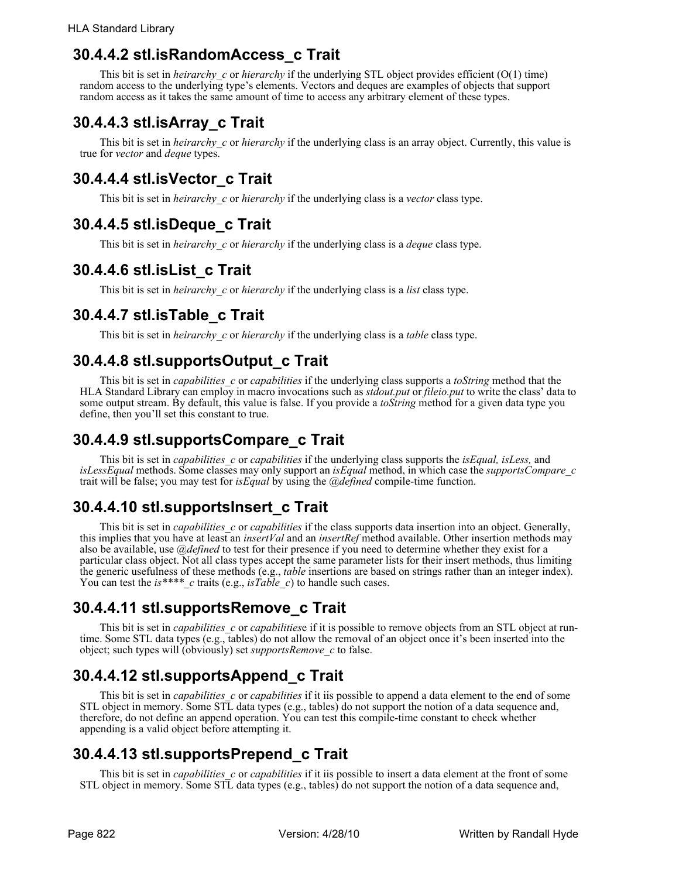### **30.4.4.2 stl.isRandomAccess\_c Trait**

This bit is set in *heirarchy* c or *hierarchy* if the underlying STL object provides efficient (O(1) time) random access to the underlying type's elements. Vectors and deques are examples of objects that support random access as it takes the same amount of time to access any arbitrary element of these types.

## **30.4.4.3 stl.isArray\_c Trait**

This bit is set in *heirarchy c* or *hierarchy* if the underlying class is an array object. Currently, this value is true for *vector* and *deque* types.

## **30.4.4.4 stl.isVector\_c Trait**

This bit is set in *heirarchy\_c* or *hierarchy* if the underlying class is a *vector* class type.

## **30.4.4.5 stl.isDeque\_c Trait**

This bit is set in *heirarchy\_c* or *hierarchy* if the underlying class is a *deque* class type.

## **30.4.4.6 stl.isList\_c Trait**

This bit is set in *heirarchy\_c* or *hierarchy* if the underlying class is a *list* class type.

## **30.4.4.7 stl.isTable\_c Trait**

This bit is set in *heirarchy\_c* or *hierarchy* if the underlying class is a *table* class type.

## **30.4.4.8 stl.supportsOutput\_c Trait**

This bit is set in *capabilities\_c* or *capabilities* if the underlying class supports a *toString* method that the HLA Standard Library can employ in macro invocations such as *stdout.put* or *fileio.put* to write the class' data to some output stream. By default, this value is false. If you provide a *toString* method for a given data type you define, then you'll set this constant to true.

### **30.4.4.9 stl.supportsCompare\_c Trait**

This bit is set in *capabilities\_c* or *capabilities* if the underlying class supports the *isEqual, isLess,* and *isLessEqual* methods. Some classes may only support an *isEqual* method, in which case the *supportsCompare\_c* trait will be false; you may test for *isEqual* by using the *@defined* compile-time function.

## **30.4.4.10 stl.supportsInsert\_c Trait**

This bit is set in *capabilities* c or *capabilities* if the class supports data insertion into an object. Generally, this implies that you have at least an *insertVal* and an *insertRef* method available. Other insertion methods may also be available, use *@defined* to test for their presence if you need to determine whether they exist for a particular class object. Not all class types accept the same parameter lists for their insert methods, thus limiting the generic usefulness of these methods (e.g., *table* insertions are based on strings rather than an integer index). You can test the *is*\*\*\*\* *c* traits (e.g., *isTable c*) to handle such cases.

## **30.4.4.11 stl.supportsRemove\_c Trait**

This bit is set in *capabilities\_c* or *capabilities*e if it is possible to remove objects from an STL object at runtime. Some STL data types (e.g., tables) do not allow the removal of an object once it's been inserted into the object; such types will (obviously) set *supportsRemove\_c* to false.

## **30.4.4.12 stl.supportsAppend\_c Trait**

This bit is set in *capabilities\_c* or *capabilities* if it iis possible to append a data element to the end of some STL object in memory. Some STL data types (e.g., tables) do not support the notion of a data sequence and, therefore, do not define an append operation. You can test this compile-time constant to check whether appending is a valid object before attempting it.

## **30.4.4.13 stl.supportsPrepend\_c Trait**

This bit is set in *capabilities\_c* or *capabilities* if it iis possible to insert a data element at the front of some STL object in memory. Some STL data types (e.g., tables) do not support the notion of a data sequence and,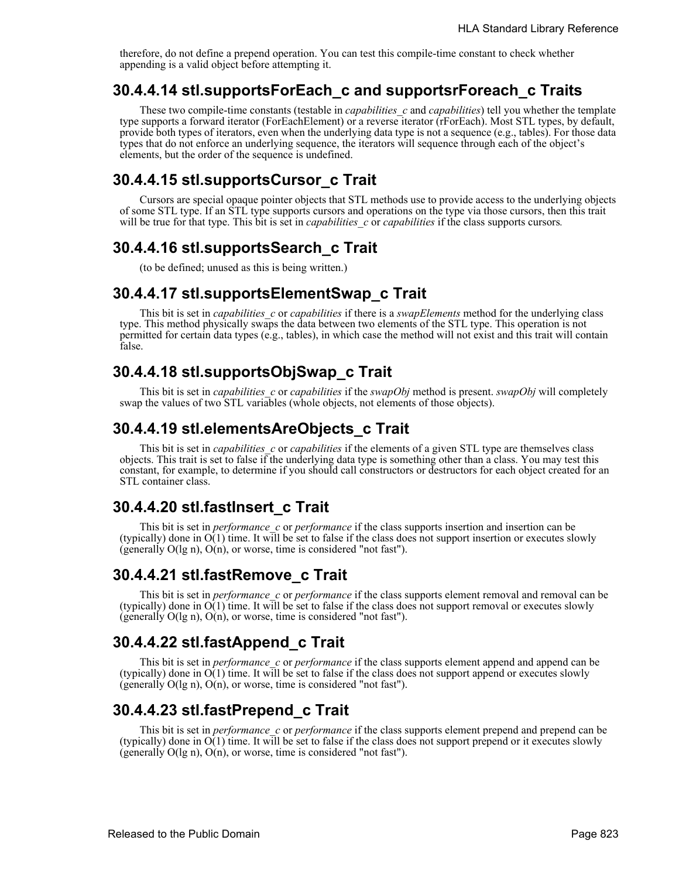therefore, do not define a prepend operation. You can test this compile-time constant to check whether appending is a valid object before attempting it.

### **30.4.4.14 stl.supportsForEach\_c and supportsrForeach\_c Traits**

These two compile-time constants (testable in *capabilities\_c* and *capabilities*) tell you whether the template type supports a forward iterator (ForEachElement) or a reverse iterator (rForEach). Most STL types, by default, provide both types of iterators, even when the underlying data type is not a sequence (e.g., tables). For those data types that do not enforce an underlying sequence, the iterators will sequence through each of the object's elements, but the order of the sequence is undefined.

### **30.4.4.15 stl.supportsCursor\_c Trait**

Cursors are special opaque pointer objects that STL methods use to provide access to the underlying objects of some STL type. If an STL type supports cursors and operations on the type via those cursors, then this trait will be true for that type. This bit is set in *capabilities* c or *capabilities* if the class supports cursors.

### **30.4.4.16 stl.supportsSearch\_c Trait**

(to be defined; unused as this is being written.)

#### **30.4.4.17 stl.supportsElementSwap\_c Trait**

This bit is set in *capabilities\_c* or *capabilities* if there is a *swapElements* method for the underlying class type. This method physically swaps the data between two elements of the STL type. This operation is not permitted for certain data types (e.g., tables), in which case the method will not exist and this trait will contain false.

### **30.4.4.18 stl.supportsObjSwap\_c Trait**

This bit is set in *capabilities\_c* or *capabilities* if the *swapObj* method is present. *swapObj* will completely swap the values of two STL variables (whole objects, not elements of those objects).

### **30.4.4.19 stl.elementsAreObjects\_c Trait**

This bit is set in *capabilities\_c* or *capabilities* if the elements of a given STL type are themselves class objects. This trait is set to false if the underlying data type is something other than a class. You may test this constant, for example, to determine if you should call constructors or destructors for each object created for an STL container class.

### **30.4.4.20 stl.fastInsert\_c Trait**

This bit is set in *performance\_c* or *performance* if the class supports insertion and insertion can be (typically) done in  $O(1)$  time. It will be set to false if the class does not support insertion or executes slowly (generally O(lg n), O(n), or worse, time is considered "not fast").

### **30.4.4.21 stl.fastRemove\_c Trait**

This bit is set in *performance\_c* or *performance* if the class supports element removal and removal can be (typically) done in  $O(1)$  time. It will be set to false if the class does not support removal or executes slowly (generally O(lg n), O(n), or worse, time is considered "not fast").

### **30.4.4.22 stl.fastAppend\_c Trait**

This bit is set in *performance c* or *performance* if the class supports element append and append can be (typically) done in  $O(1)$  time. It will be set to false if the class does not support append or executes slowly (generally O(lg n), O(n), or worse, time is considered "not fast").

### **30.4.4.23 stl.fastPrepend\_c Trait**

This bit is set in *performance c* or *performance* if the class supports element prepend and prepend can be (typically) done in O(1) time. It will be set to false if the class does not support prepend or it executes slowly (generally O(lg n), O(n), or worse, time is considered "not fast").